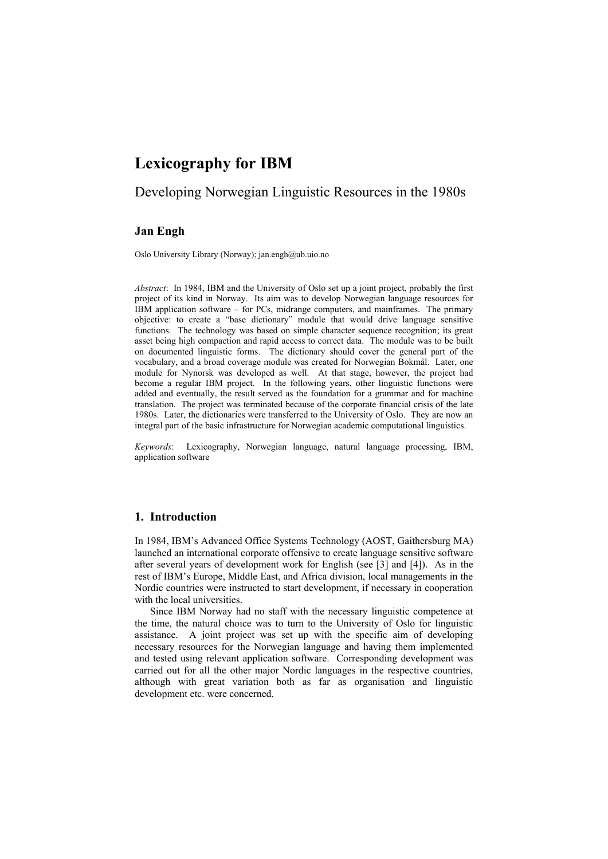# Developing Norwegian Linguistic Resources in the 1980s

## **Jan Engh**

Oslo University Library (Norway); jan.engh@ub.uio.no

*Abstract*: In 1984, IBM and the University of Oslo set up a joint project, probably the first project of its kind in Norway. Its aim was to develop Norwegian language resources for IBM application software – for PCs, midrange computers, and mainframes. The primary objective: to create a "base dictionary" module that would drive language sensitive functions. The technology was based on simple character sequence recognition; its great asset being high compaction and rapid access to correct data. The module was to be built on documented linguistic forms. The dictionary should cover the general part of the vocabulary, and a broad coverage module was created for Norwegian Bokmål. Later, one module for Nynorsk was developed as well. At that stage, however, the project had become a regular IBM project. In the following years, other linguistic functions were added and eventually, the result served as the foundation for a grammar and for machine translation. The project was terminated because of the corporate financial crisis of the late 1980s. Later, the dictionaries were transferred to the University of Oslo. They are now an integral part of the basic infrastructure for Norwegian academic computational linguistics.

*Keywords*: Lexicography, Norwegian language, natural language processing, IBM, application software

## **1. Introduction**

In 1984, IBM's Advanced Office Systems Technology (AOST, Gaithersburg MA) launched an international corporate offensive to create language sensitive software after several years of development work for English (see [3] and [4]). As in the rest of IBM's Europe, Middle East, and Africa division, local managements in the Nordic countries were instructed to start development, if necessary in cooperation with the local universities.

<span id="page-0-3"></span><span id="page-0-2"></span><span id="page-0-1"></span><span id="page-0-0"></span>Since IBM Norway had no staff with the necessary linguistic competence at the time, the natural choice was to turn to the University of Oslo for linguistic assistance. A joint project was set up with the specific aim of developing necessary resources for the Norwegian language and having them implemented and tested using relevant application software. Corresponding development was carried out for all the other major Nordic languages in the respective countries, although with great variation both as far as organisation and linguistic development etc. were concerned.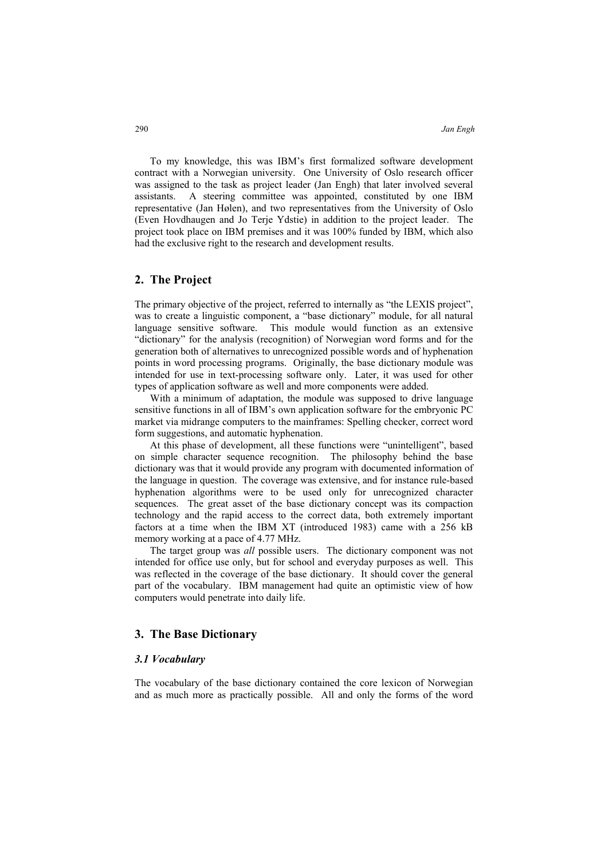To my knowledge, this was IBM's first formalized software development contract with a Norwegian university. One University of Oslo research officer was assigned to the task as project leader (Jan Engh) that later involved several assistants. A steering committee was appointed, constituted by one IBM representative (Jan Hølen), and two representatives from the University of Oslo (Even Hovdhaugen and Jo Terje Ydstie) in addition to the project leader. The project took place on IBM premises and it was 100% funded by IBM, which also had the exclusive right to the research and development results.

# **2. The Project**

The primary objective of the project, referred to internally as "the LEXIS project", was to create a linguistic component, a "base dictionary" module, for all natural language sensitive software. This module would function as an extensive "dictionary" for the analysis (recognition) of Norwegian word forms and for the generation both of alternatives to unrecognized possible words and of hyphenation points in word processing programs. Originally, the base dictionary module was intended for use in text-processing software only. Later, it was used for other types of application software as well and more components were added.

With a minimum of adaptation, the module was supposed to drive language sensitive functions in all of IBM's own application software for the embryonic PC market via midrange computers to the mainframes: Spelling checker, correct word form suggestions, and automatic hyphenation.

At this phase of development, all these functions were "unintelligent", based on simple character sequence recognition. The philosophy behind the base dictionary was that it would provide any program with documented information of the language in question. The coverage was extensive, and for instance rule-based hyphenation algorithms were to be used only for unrecognized character sequences. The great asset of the base dictionary concept was its compaction technology and the rapid access to the correct data, both extremely important factors at a time when the IBM XT (introduced 1983) came with a 256 kB memory working at a pace of 4.77 MHz.

The target group was *all* possible users. The dictionary component was not intended for office use only, but for school and everyday purposes as well. This was reflected in the coverage of the base dictionary. It should cover the general part of the vocabulary. IBM management had quite an optimistic view of how computers would penetrate into daily life.

# **3. The Base Dictionary**

#### *3.1 Vocabulary*

The vocabulary of the base dictionary contained the core lexicon of Norwegian and as much more as practically possible. All and only the forms of the word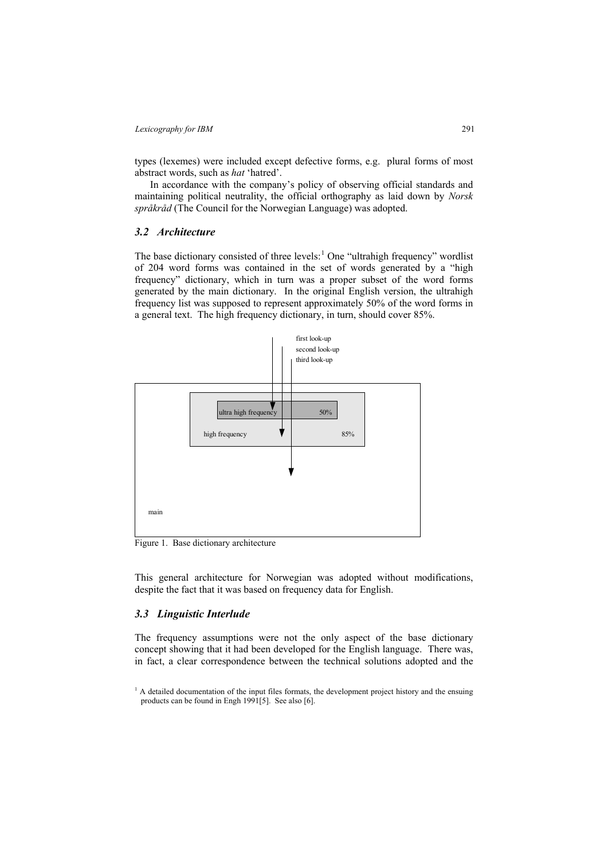types (lexemes) were included except defective forms, e.g. plural forms of most abstract words, such as *hat* 'hatred'.

In accordance with the company's policy of observing official standards and maintaining political neutrality, the official orthography as laid down by *Norsk språkråd* (The Council for the Norwegian Language) was adopted.

#### *3.2 Architecture*

The base dictionary consisted of three levels: $<sup>1</sup>$  $<sup>1</sup>$  $<sup>1</sup>$  One "ultrahigh frequency" wordlist</sup> of 204 word forms was contained in the set of words generated by a "high frequency" dictionary, which in turn was a proper subset of the word forms generated by the main dictionary. In the original English version, the ultrahigh frequency list was supposed to represent approximately 50% of the word forms in a general text. The high frequency dictionary, in turn, should cover 85%.



Figure 1. Base dictionary architecture

This general architecture for Norwegian was adopted without modifications, despite the fact that it was based on frequency data for English.

#### *3.3 Linguistic Interlude*

The frequency assumptions were not the only aspect of the base dictionary concept showing that it had been developed for the English language. There was, in fact, a clear correspondence between the technical solutions adopted and the

<sup>&</sup>lt;sup>1</sup> A detailed documentation of the input files formats, the development project history and the ensuing products can be found in Engh 1991[5]. See also [6].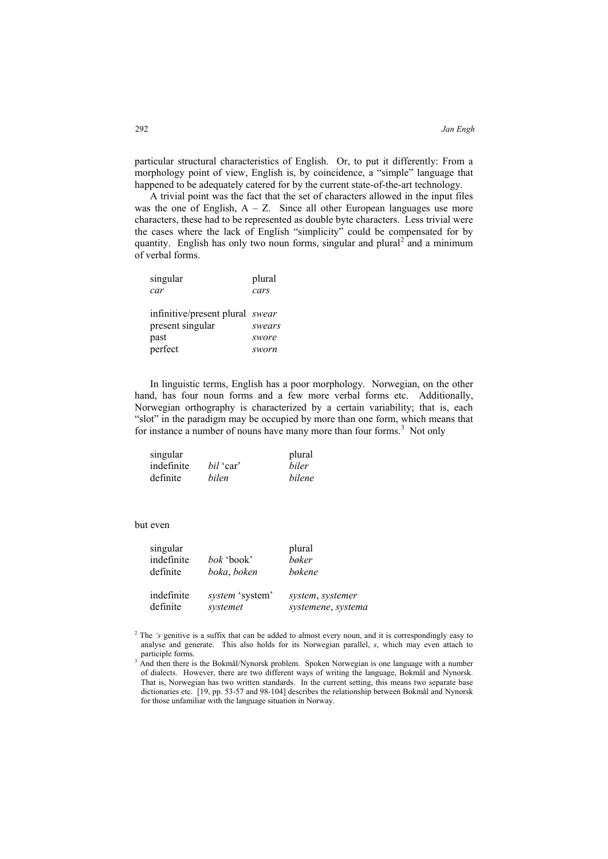particular structural characteristics of English. Or, to put it differently: From a morphology point of view, English is, by coincidence, a "simple" language that happened to be adequately catered for by the current state-of-the-art technology.

A trivial point was the fact that the set of characters allowed in the input files was the one of English,  $A - Z$ . Since all other European languages use more characters, these had to be represented as double byte characters. Less trivial were the cases where the lack of English "simplicity" could be compensated for by quantity. English has only two noun forms, singular and plural<sup>[2](#page-0-1)</sup> and a minimum of verbal forms.

| singular                               | plural |
|----------------------------------------|--------|
| car                                    | cars   |
|                                        |        |
| infinitive/present plural <i>swear</i> |        |
| present singular                       | swears |
| past                                   | swore  |
| perfect                                | sworn  |

In linguistic terms, English has a poor morphology. Norwegian, on the other hand, has four noun forms and a few more verbal forms etc. Additionally, Norwegian orthography is characterized by a certain variability; that is, each "slot" in the paradigm may be occupied by more than one form, which means that for instance a number of nouns have many more than four forms.<sup>[3](#page-0-2)</sup> Not only

| singular   |                  | plural       |  |  |
|------------|------------------|--------------|--|--|
| indefinite | <i>bil</i> 'car' | <i>biler</i> |  |  |
| definite   | bilen            | bilene       |  |  |

#### but even

| singular<br>indefinite<br>definite | <i>bok</i> 'book'<br>boka, boken | plural<br>høker<br>høkene |  |  |
|------------------------------------|----------------------------------|---------------------------|--|--|
| indefinite                         | system 'system'                  | system, systemer          |  |  |
| definite                           | systemet                         | systemene, systema        |  |  |

<sup>2</sup> The 's genitive is a suffix that can be added to almost every noun, and it is correspondingly easy to analyse and generate. This also holds for its Norwegian parallel, *s*, which may even attach to participle forms.

And then there is the Bokmål/Nynorsk problem. Spoken Norwegian is one language with a number of dialects. However, there are two different ways of writing the language, Bokmål and Nynorsk. That is, Norwegian has two written standards. In the current setting, this means two separate base dictionaries etc. [19, pp. 53-57 and 98-104] describes the relationship between Bokmål and Nynorsk for those unfamiliar with the language situation in Norway.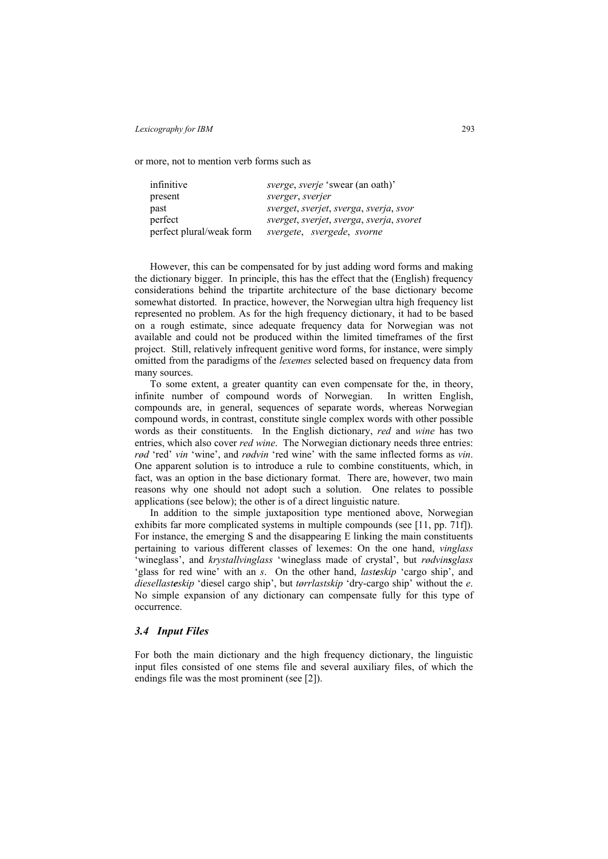or more, not to mention verb forms such as

| infinitive               | <i>sverge, sverje</i> 'swear (an oath)'  |
|--------------------------|------------------------------------------|
| present                  | sverger, sverjer                         |
| past                     | sverget, sverjet, sverga, sverja, svor   |
| perfect                  | sverget, sverjet, sverga, sverja, svoret |
| perfect plural/weak form | svergete, svergede, svorne               |

However, this can be compensated for by just adding word forms and making the dictionary bigger. In principle, this has the effect that the (English) frequency considerations behind the tripartite architecture of the base dictionary become somewhat distorted. In practice, however, the Norwegian ultra high frequency list represented no problem. As for the high frequency dictionary, it had to be based on a rough estimate, since adequate frequency data for Norwegian was not available and could not be produced within the limited timeframes of the first project. Still, relatively infrequent genitive word forms, for instance, were simply omitted from the paradigms of the *lexemes* selected based on frequency data from many sources.

To some extent, a greater quantity can even compensate for the, in theory, infinite number of compound words of Norwegian. In written English, compounds are, in general, sequences of separate words, whereas Norwegian compound words, in contrast, constitute single complex words with other possible words as their constituents. In the English dictionary, *red* and *wine* has two entries, which also cover *red wine*. The Norwegian dictionary needs three entries: *rød* 'red' *vin* 'wine', and *rødvin* 'red wine' with the same inflected forms as *vin*. One apparent solution is to introduce a rule to combine constituents, which, in fact, was an option in the base dictionary format. There are, however, two main reasons why one should not adopt such a solution. One relates to possible applications (see below); the other is of a direct linguistic nature.

In addition to the simple juxtaposition type mentioned above. Norwegian exhibits far more complicated systems in multiple compounds (see [11, pp. 71f]). For instance, the emerging S and the disappearing E linking the main constituents pertaining to various different classes of lexemes: On the one hand, *vinglass* 'wineglass', and *krystallvinglass* 'wineglass made of crystal', but *rødvinsglass* 'glass for red wine' with an *s*. On the other hand, *lasteskip* 'cargo ship', and *diesellasteskip* 'diesel cargo ship', but *tørrlastskip* 'dry-cargo ship' without the *e*. No simple expansion of any dictionary can compensate fully for this type of occurrence.

# *3.4 Input Files*

For both the main dictionary and the high frequency dictionary, the linguistic input files consisted of one stems file and several auxiliary files, of which the endings file was the most prominent (see [2]).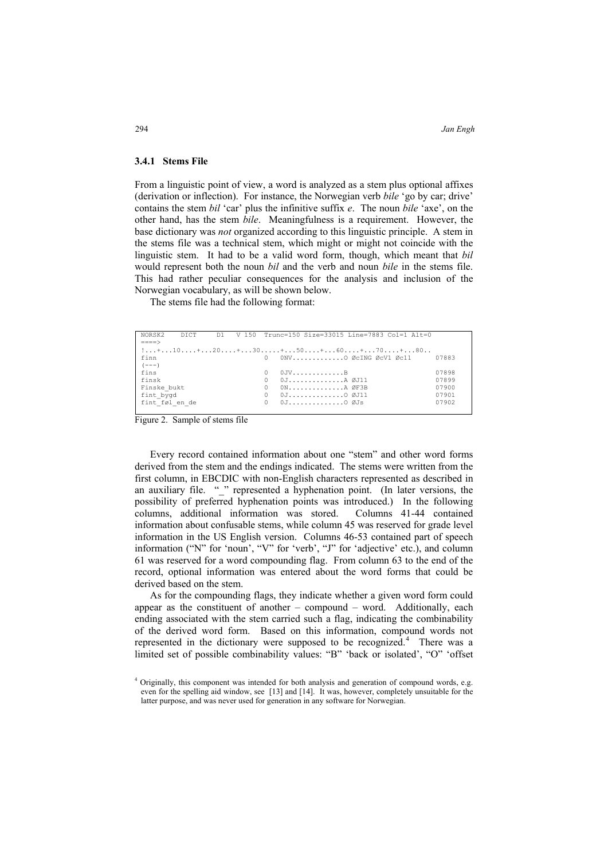294 *Jan Engh* 

#### **3.4.1 Stems File**

From a linguistic point of view, a word is analyzed as a stem plus optional affixes (derivation or inflection). For instance, the Norwegian verb *bile* 'go by car; drive' contains the stem *bil* 'car' plus the infinitive suffix *e*. The noun *bile* 'axe', on the other hand, has the stem *bile*. Meaningfulness is a requirement. However, the base dictionary was *not* organized according to this linguistic principle. A stem in the stems file was a technical stem, which might or might not coincide with the linguistic stem. It had to be a valid word form, though, which meant that *bil* would represent both the noun *bil* and the verb and noun *bile* in the stems file. This had rather peculiar consequences for the analysis and inclusion of the Norwegian vocabulary, as will be shown below.

The stems file had the following format:

| NORSK2         | DTCT. | D1 |          | V 150 Trunc=150 Size=33015 Line=7883 Col=1 Alt=0                                                                                 |       |
|----------------|-------|----|----------|----------------------------------------------------------------------------------------------------------------------------------|-------|
| $====$         |       |    |          |                                                                                                                                  |       |
|                |       |    |          | $1 \dots + \dots 10 \dots + \dots 20 \dots + \dots 30 \dots + \dots 50 \dots + \dots 60 \dots + \dots 70 \dots + \dots 80 \dots$ |       |
| finn           |       |    |          | $0$ ONV O ØcING ØcV1 Øc11                                                                                                        | 07883 |
| $(- - -)$      |       |    |          |                                                                                                                                  |       |
| fins           |       |    | $\Omega$ | $0$ JV $\ldots$ $\ldots$ $\ldots$ $\ldots$ . B                                                                                   | 07898 |
| finsk          |       |    | 0        | 0JA ØJ11                                                                                                                         | 07899 |
| Finske bukt    |       |    | 0        | 0NA ØF3B                                                                                                                         | 07900 |
| fint bygd      |       |    | $\Omega$ | 0J0 0J11                                                                                                                         | 07901 |
| fint føl en de |       |    | 0        | 0J0 ØJs                                                                                                                          | 07902 |
|                |       |    |          |                                                                                                                                  |       |

Figure 2. Sample of stems file

Every record contained information about one "stem" and other word forms derived from the stem and the endings indicated. The stems were written from the first column, in EBCDIC with non-English characters represented as described in an auxiliary file. " " represented a hyphenation point. (In later versions, the possibility of preferred hyphenation points was introduced.) In the following columns, additional information was stored. Columns 41-44 contained information about confusable stems, while column 45 was reserved for grade level information in the US English version. Columns 46-53 contained part of speech information ("N" for 'noun', "V" for 'verb', "J" for 'adjective' etc.), and column 61 was reserved for a word compounding flag. From column 63 to the end of the record, optional information was entered about the word forms that could be derived based on the stem.

As for the compounding flags, they indicate whether a given word form could appear as the constituent of another – compound – word. Additionally, each ending associated with the stem carried such a flag, indicating the combinability of the derived word form. Based on this information, compound words not represented in the dictionary were supposed to be recognized.<sup>[4](#page-0-3)</sup> There was a limited set of possible combinability values: "B" 'back or isolated', "O" 'offset

<sup>&</sup>lt;sup>4</sup> Originally, this component was intended for both analysis and generation of compound words, e.g. even for the spelling aid window, see [13] and [14]. It was, however, completely unsuitable for the latter purpose, and was never used for generation in any software for Norwegian.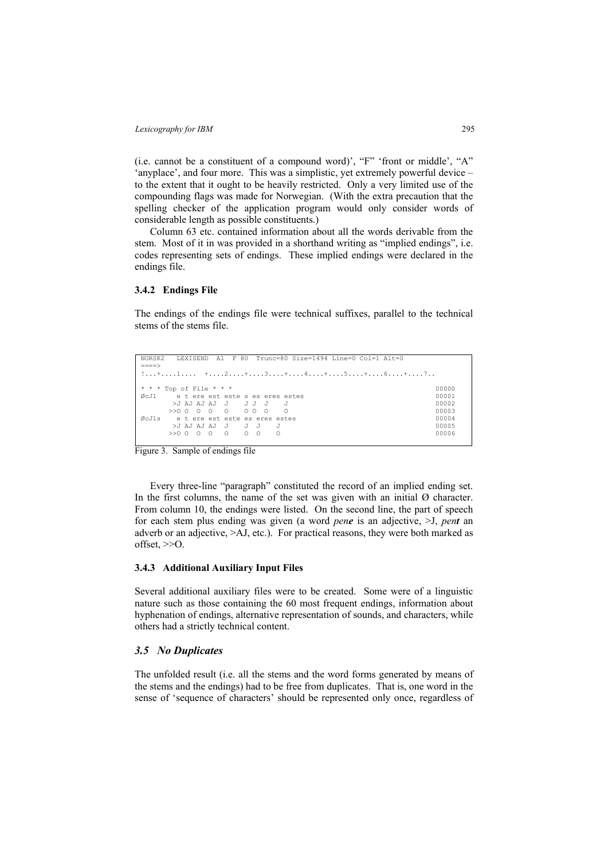(i.e. cannot be a constituent of a compound word)', "F" 'front or middle', "A" 'anyplace', and four more. This was a simplistic, yet extremely powerful device – to the extent that it ought to be heavily restricted. Only a very limited use of the compounding flags was made for Norwegian. (With the extra precaution that the spelling checker of the application program would only consider words of considerable length as possible constituents.)

Column 63 etc. contained information about all the words derivable from the stem. Most of it in was provided in a shorthand writing as "implied endings", i.e. codes representing sets of endings. These implied endings were declared in the endings file.

#### **3.4.2 Endings File**

The endings of the endings file were technical suffixes, parallel to the technical stems of the stems file.

```
NORSK2 LEXISEND A1 F 80 Trunc=80 Size=1494 Line=0 Col=1 Alt=0
====> 
!...+....1.... +....2....+....3....+....4....+....5....+....6....+....7.. 
* * * Top of File * * * 00000 
ØcJ1 e t ere est este s es eres estes 00001 
 >J AJ AJ AJ J J J J J 00002 
 >>O O O O O O O O O 00003 
      © t ere est este es eres estes 00004<br>
⊳JAJAJAJJJJJJJ O0005
      >J AJ AJ AJ J J J J 00005 
      >>O O O O O O O O 00006
```
Figure 3. Sample of endings file

Every three-line "paragraph" constituted the record of an implied ending set. In the first columns, the name of the set was given with an initial  $\varnothing$  character. From column 10, the endings were listed. On the second line, the part of speech for each stem plus ending was given (a word *pene* is an adjective, >J, *pent* an adverb or an adjective, >AJ, etc.). For practical reasons, they were both marked as  $offset. >0.$ 

#### **3.4.3 Additional Auxiliary Input Files**

Several additional auxiliary files were to be created. Some were of a linguistic nature such as those containing the 60 most frequent endings, information about hyphenation of endings, alternative representation of sounds, and characters, while others had a strictly technical content.

#### *3.5 No Duplicates*

The unfolded result (i.e. all the stems and the word forms generated by means of the stems and the endings) had to be free from duplicates. That is, one word in the sense of 'sequence of characters' should be represented only once, regardless of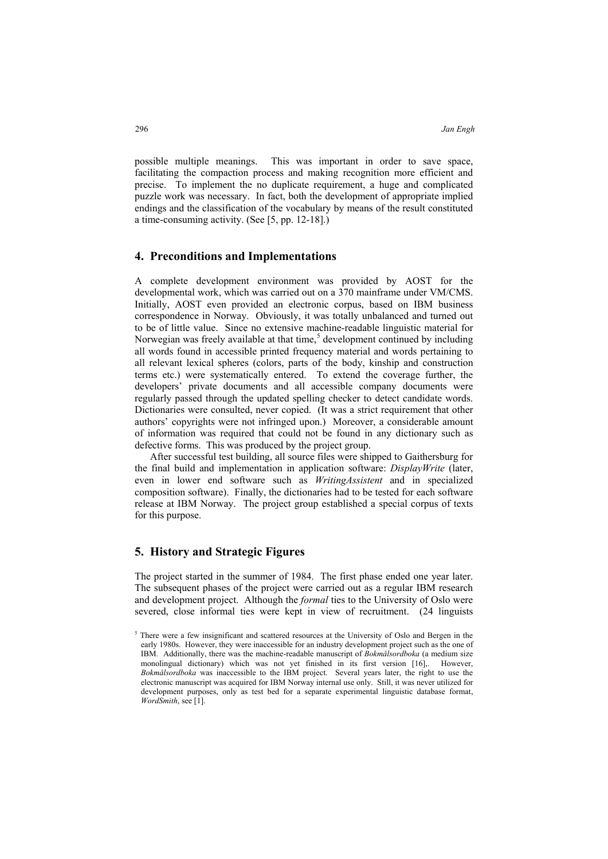possible multiple meanings. This was important in order to save space, facilitating the compaction process and making recognition more efficient and precise. To implement the no duplicate requirement, a huge and complicated puzzle work was necessary. In fact, both the development of appropriate implied endings and the classification of the vocabulary by means of the result constituted a time-consuming activity. (See [5, pp. 12-18].)

#### **4. Preconditions and Implementations**

A complete development environment was provided by AOST for the developmental work, which was carried out on a 370 mainframe under VM/CMS. Initially, AOST even provided an electronic corpus, based on IBM business correspondence in Norway. Obviously, it was totally unbalanced and turned out to be of little value. Since no extensive machine-readable linguistic material for Norwegian was freely available at that time,<sup>[5](#page-0-1)</sup> development continued by including all words found in accessible printed frequency material and words pertaining to all relevant lexical spheres (colors, parts of the body, kinship and construction terms etc.) were systematically entered. To extend the coverage further, the developers' private documents and all accessible company documents were regularly passed through the updated spelling checker to detect candidate words. Dictionaries were consulted, never copied. (It was a strict requirement that other authors' copyrights were not infringed upon.) Moreover, a considerable amount of information was required that could not be found in any dictionary such as defective forms. This was produced by the project group.

After successful test building, all source files were shipped to Gaithersburg for the final build and implementation in application software: *DisplayWrite* (later, even in lower end software such as *WritingAssistent* and in specialized composition software). Finally, the dictionaries had to be tested for each software release at IBM Norway. The project group established a special corpus of texts for this purpose.

# **5. History and Strategic Figures**

The project started in the summer of 1984. The first phase ended one year later. The subsequent phases of the project were carried out as a regular IBM research and development project. Although the *formal* ties to the University of Oslo were severed, close informal ties were kept in view of recruitment. (24 linguists

<sup>&</sup>lt;sup>5</sup> There were a few insignificant and scattered resources at the University of Oslo and Bergen in the early 1980s. However, they were inaccessible for an industry development project such as the one of IBM. Additionally, there was the machine-readable manuscript of *Bokmålsordboka* (a medium size monolingual dictionary) which was not yet finished in its first version [16],. However, *Bokmålsordboka* was inaccessible to the IBM project. Several years later, the right to use the electronic manuscript was acquired for IBM Norway internal use only. Still, it was never utilized for development purposes, only as test bed for a separate experimental linguistic database format, *WordSmith*, see [1].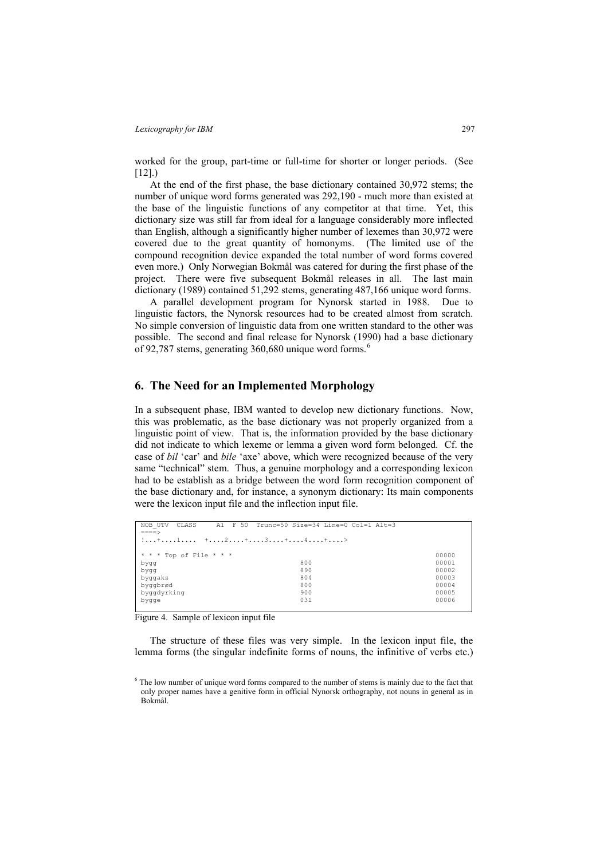worked for the group, part-time or full-time for shorter or longer periods. (See  $[12]$ .)

At the end of the first phase, the base dictionary contained 30,972 stems; the number of unique word forms generated was 292,190 - much more than existed at the base of the linguistic functions of any competitor at that time. Yet, this dictionary size was still far from ideal for a language considerably more inflected than English, although a significantly higher number of lexemes than 30,972 were covered due to the great quantity of homonyms. (The limited use of the compound recognition device expanded the total number of word forms covered even more.) Only Norwegian Bokmål was catered for during the first phase of the project. There were five subsequent Bokmål releases in all. The last main dictionary (1989) contained 51,292 stems, generating 487,166 unique word forms.

A parallel development program for Nynorsk started in 1988. Due to linguistic factors, the Nynorsk resources had to be created almost from scratch. No simple conversion of linguistic data from one written standard to the other was possible. The second and final release for Nynorsk (1990) had a base dictionary of 92,787 stems, generating 3[6](#page-0-3)0,680 unique word forms.<sup>6</sup>  $\overline{a}$ 

#### **6. The Need for an Implemented Morphology**

In a subsequent phase, IBM wanted to develop new dictionary functions. Now, this was problematic, as the base dictionary was not properly organized from a linguistic point of view. That is, the information provided by the base dictionary did not indicate to which lexeme or lemma a given word form belonged. Cf. the case of *bil* 'car' and *bile* 'axe' above, which were recognized because of the very same "technical" stem. Thus, a genuine morphology and a corresponding lexicon had to be establish as a bridge between the word form recognition component of the base dictionary and, for instance, a synonym dictionary: Its main components were the lexicon input file and the inflection input file.

| NOB UTV<br>CLASS<br>A1<br>$====$                                                              | F 50 Trunc=50 Size=34 Line=0 Col=1 Alt=3 |       |
|-----------------------------------------------------------------------------------------------|------------------------------------------|-------|
| $! \ldots + \ldots 1 \ldots + \ldots 2 \ldots + \ldots 3 \ldots + \ldots 4 \ldots + \ldots >$ |                                          |       |
| * * * Top of File * * *                                                                       |                                          | 00000 |
| bygg                                                                                          | 800                                      | 00001 |
| bygg                                                                                          | 890                                      | 00002 |
| byggaks                                                                                       | 804                                      | 00003 |
| byqqbrød                                                                                      | 800                                      | 00004 |
| byggdyrking                                                                                   | 900                                      | 00005 |
| bygge                                                                                         | 031                                      | 00006 |

Figure 4. Sample of lexicon input file

The structure of these files was very simple. In the lexicon input file, the lemma forms (the singular indefinite forms of nouns, the infinitive of verbs etc.)

<sup>&</sup>lt;sup>6</sup> The low number of unique word forms compared to the number of stems is mainly due to the fact that only proper names have a genitive form in official Nynorsk orthography, not nouns in general as in Bokmål.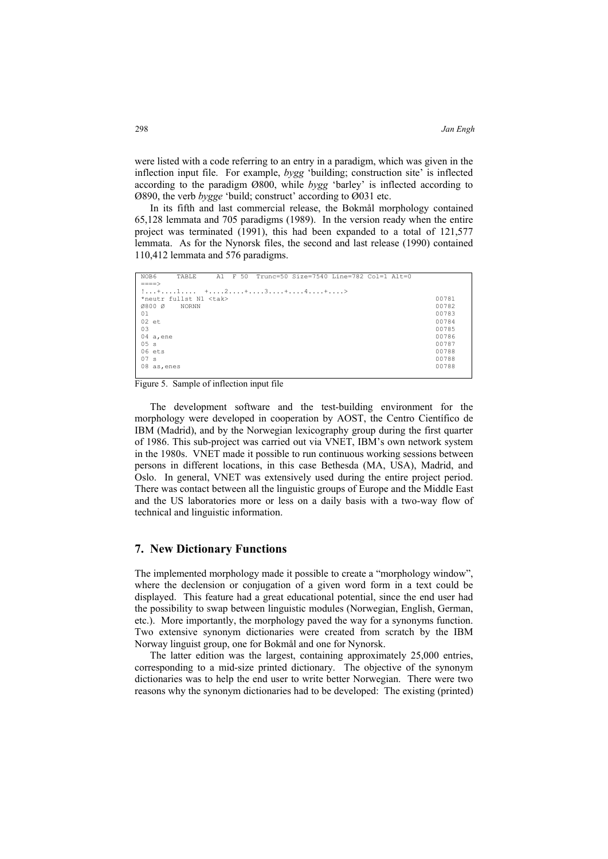were listed with a code referring to an entry in a paradigm, which was given in the inflection input file. For example, *bygg* 'building; construction site' is inflected according to the paradigm Ø800, while *bygg* 'barley' is inflected according to Ø890, the verb *bygge* 'build; construct' according to Ø031 etc.

In its fifth and last commercial release, the Bokmål morphology contained 65,128 lemmata and 705 paradigms (1989). In the version ready when the entire project was terminated (1991), this had been expanded to a total of 121,577 lemmata. As for the Nynorsk files, the second and last release (1990) contained 110,412 lemmata and 576 paradigms.

| NOB6           | TABLE                        | A1 | F 50 | Trunc=50 Size=7540 Line=782 Col=1 Alt=0 |  |       |
|----------------|------------------------------|----|------|-----------------------------------------|--|-------|
| $===>)$        |                              |    |      |                                         |  |       |
|                | $!+1$ +2+3+4+>               |    |      |                                         |  |       |
|                | *neutr fullst N1 <tak></tak> |    |      |                                         |  | 00781 |
|                | Ø800 Ø<br><b>NORNN</b>       |    |      |                                         |  | 00782 |
| 01             |                              |    |      |                                         |  | 00783 |
| $02$ et        |                              |    |      |                                         |  | 00784 |
| 03             |                              |    |      |                                         |  | 00785 |
|                | $04a$ , ene                  |    |      |                                         |  | 00786 |
| 05s            |                              |    |      |                                         |  | 00787 |
|                | 06 ets                       |    |      |                                         |  | 00788 |
| $07 \text{ s}$ |                              |    |      |                                         |  | 00788 |
| 08             | as, enes                     |    |      |                                         |  | 00788 |
|                |                              |    |      |                                         |  |       |

Figure 5. Sample of inflection input file

The development software and the test-building environment for the morphology were developed in cooperation by AOST, the Centro Científico de IBM (Madrid), and by the Norwegian lexicography group during the first quarter of 1986. This sub-project was carried out via VNET, IBM's own network system in the 1980s. VNET made it possible to run continuous working sessions between persons in different locations, in this case Bethesda (MA, USA), Madrid, and Oslo. In general, VNET was extensively used during the entire project period. There was contact between all the linguistic groups of Europe and the Middle East and the US laboratories more or less on a daily basis with a two-way flow of technical and linguistic information.

#### **7. New Dictionary Functions**

The implemented morphology made it possible to create a "morphology window", where the declension or conjugation of a given word form in a text could be displayed. This feature had a great educational potential, since the end user had the possibility to swap between linguistic modules (Norwegian, English, German, etc.). More importantly, the morphology paved the way for a synonyms function. Two extensive synonym dictionaries were created from scratch by the IBM Norway linguist group, one for Bokmål and one for Nynorsk.

The latter edition was the largest, containing approximately 25,000 entries, corresponding to a mid-size printed dictionary. The objective of the synonym dictionaries was to help the end user to write better Norwegian. There were two reasons why the synonym dictionaries had to be developed: The existing (printed)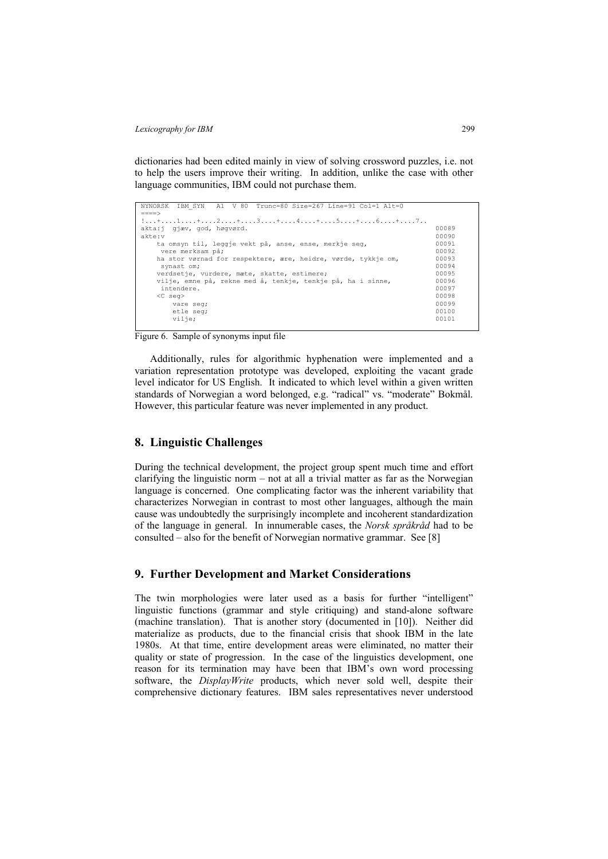dictionaries had been edited mainly in view of solving crossword puzzles, i.e. not to help the users improve their writing. In addition, unlike the case with other language communities, IBM could not purchase them.

```
NYNORSK IBM SYN A1 V 80 Trunc=80 Size=267 Line=91 Col=1 Alt=0
=!...+....1....+....2....+....3....+....4....+....5....+....6....+....7.. 
akta:j gjæv, god, høgvørd. 00089
akte:v 00090 
 ta omsyn til, leggje vekt på, anse, ense, merkje seg, 00091 
   vere merksam på;<br>vare merksam på;<br>a stor vørnad for respektere, ære, heidre, vørde, tykkie om, 00093
   ha stor vørnad for respektere, ære, heidre, vørde, tykkje om, 00093 
 synast om; 00094 
 verdsetje, vurdere, mæte, skatte, estimere; 00095 
 vilje, emne på, rekne med å, tenkje, tenkje på, ha i sinne, 00096 
 intendere. 00097 
<C seg> 00098
       vare seg; 00099 
      etle seg;
vilje; 00101
```
Figure 6. Sample of synonyms input file

Additionally, rules for algorithmic hyphenation were implemented and a variation representation prototype was developed, exploiting the vacant grade level indicator for US English. It indicated to which level within a given written standards of Norwegian a word belonged, e.g. "radical" vs. "moderate" Bokmål. However, this particular feature was never implemented in any product.

# **8. Linguistic Challenges**

During the technical development, the project group spent much time and effort clarifying the linguistic norm – not at all a trivial matter as far as the Norwegian language is concerned. One complicating factor was the inherent variability that characterizes Norwegian in contrast to most other languages, although the main cause was undoubtedly the surprisingly incomplete and incoherent standardization of the language in general. In innumerable cases, the *Norsk språkråd* had to be consulted – also for the benefit of Norwegian normative grammar. See [8]

## **9. Further Development and Market Considerations**

The twin morphologies were later used as a basis for further "intelligent" linguistic functions (grammar and style critiquing) and stand-alone software (machine translation). That is another story (documented in [10]). Neither did materialize as products, due to the financial crisis that shook IBM in the late 1980s. At that time, entire development areas were eliminated, no matter their quality or state of progression. In the case of the linguistics development, one reason for its termination may have been that IBM's own word processing software, the *DisplayWrite* products, which never sold well, despite their comprehensive dictionary features. IBM sales representatives never understood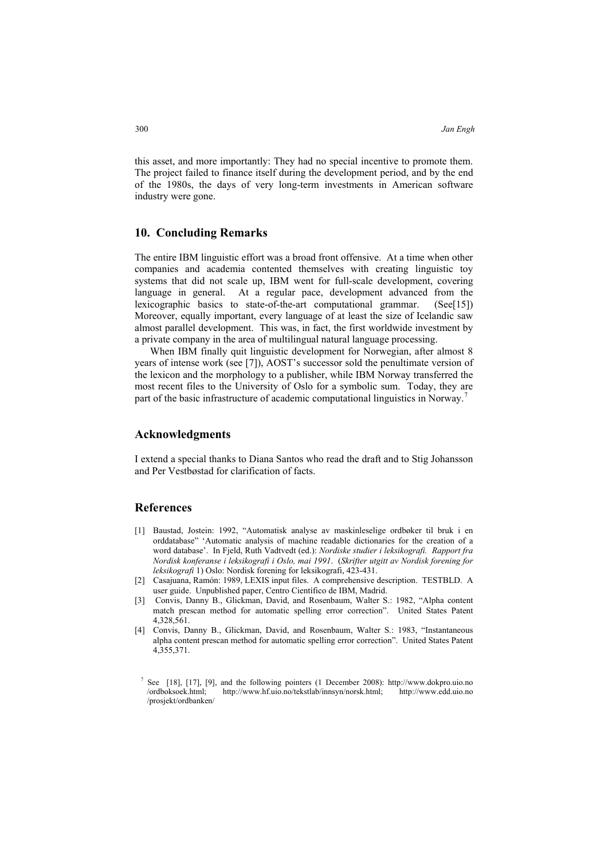this asset, and more importantly: They had no special incentive to promote them. The project failed to finance itself during the development period, and by the end of the 1980s, the days of very long-term investments in American software industry were gone.

# **10. Concluding Remarks**

The entire IBM linguistic effort was a broad front offensive. At a time when other companies and academia contented themselves with creating linguistic toy systems that did not scale up, IBM went for full-scale development, covering language in general. At a regular pace, development advanced from the lexicographic basics to state-of-the-art computational grammar. (See[15]) Moreover, equally important, every language of at least the size of Icelandic saw almost parallel development. This was, in fact, the first worldwide investment by a private company in the area of multilingual natural language processing.

When IBM finally quit linguistic development for Norwegian, after almost 8 years of intense work (see [7]), AOST's successor sold the penultimate version of the lexicon and the morphology to a publisher, while IBM Norway transferred the most recent files to the University of Oslo for a symbolic sum. Today, they are part of the basic infrastructure of academic computational linguistics in Norway.<sup>[7](#page-0-3)</sup>

### **Acknowledgments**

I extend a special thanks to Diana Santos who read the draft and to Stig Johansson and Per Vestbøstad for clarification of facts.

# **References**

- [1] Baustad, Jostein: 1992, "Automatisk analyse av maskinleselige ordbøker til bruk i en orddatabase" 'Automatic analysis of machine readable dictionaries for the creation of a word database'. In Fjeld, Ruth Vadtvedt (ed.): *Nordiske studier i leksikografi. Rapport fra Nordisk konferanse i leksikografi i Oslo, mai 1991*. (*Skrifter utgitt av Nordisk forening for leksikografi* 1) Oslo: Nordisk forening for leksikografi, 423-431.
- [2] Casajuana, Ramón: 1989, LEXIS input files. A comprehensive description. TESTBLD. A user guide. Unpublished paper, Centro Científico de IBM, Madrid.
- [3] Convis, Danny B., Glickman, David, and Rosenbaum, Walter S.: 1982, "Alpha content match prescan method for automatic spelling error correction". United States Patent 4,328,561.
- [4] Convis, Danny B., Glickman, David, and Rosenbaum, Walter S.: 1983, "Instantaneous alpha content prescan method for automatic spelling error correction". United States Patent 4,355,371.
- <sup>7</sup> See [18], [17], [9], and the following pointers (1 December 2008): http://www.dokpro.uio.no /ordboksoek.html; http://www.hf.uio.no/tekstlab/innsyn/norsk.html; http://www.edd.uio.no /prosjekt/ordbanken/